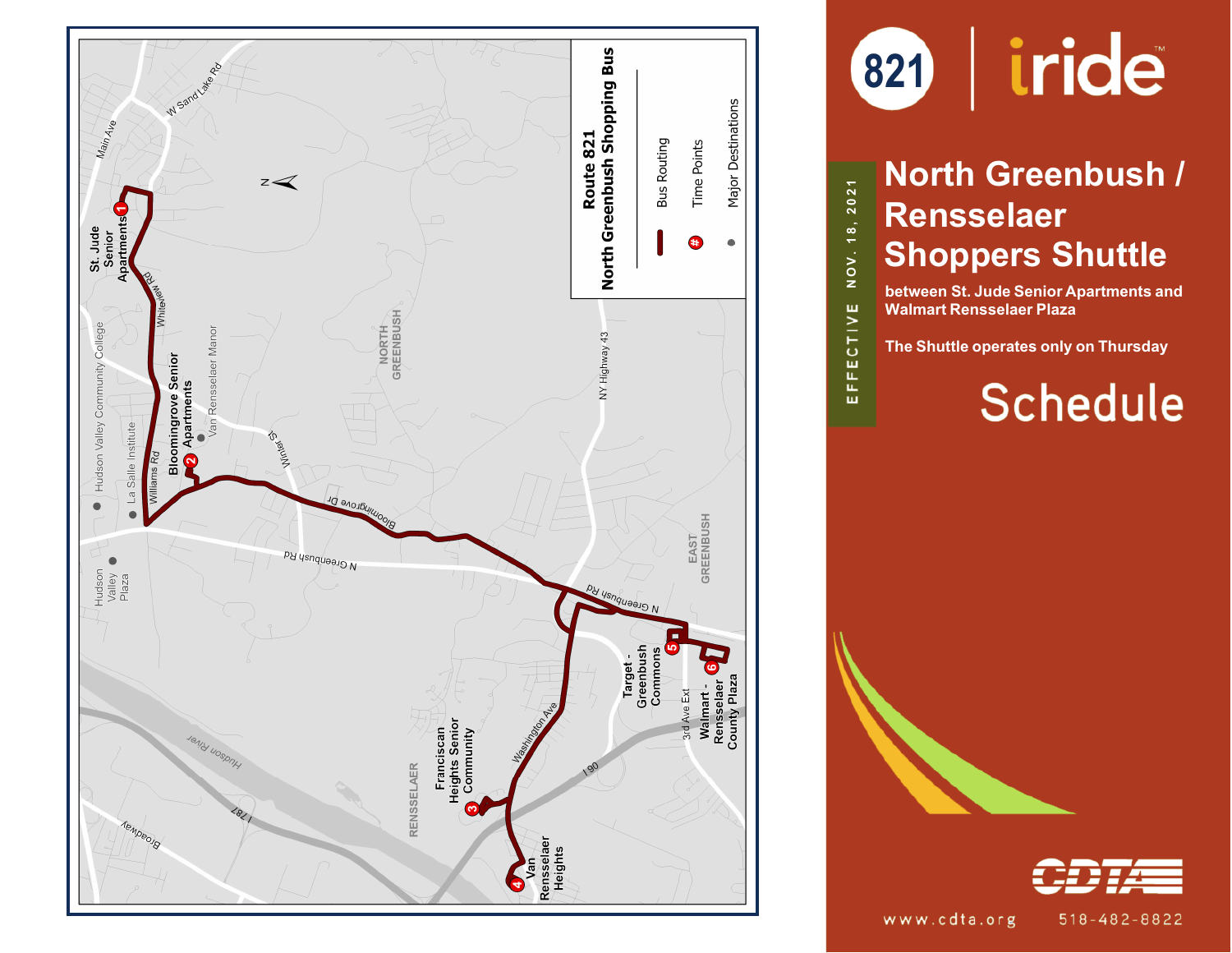



# **North Greenbush / Rensselaer Shoppers Shuttle**

**NOV. 1 8 , 2021**

EFFECTIVE

**between St. Jude Senior Apartments and Walmart Rensselaer Plaza**

**The Shuttle operates only on Thursday**

# **Schedule**



 $518 - 482 - 8822$